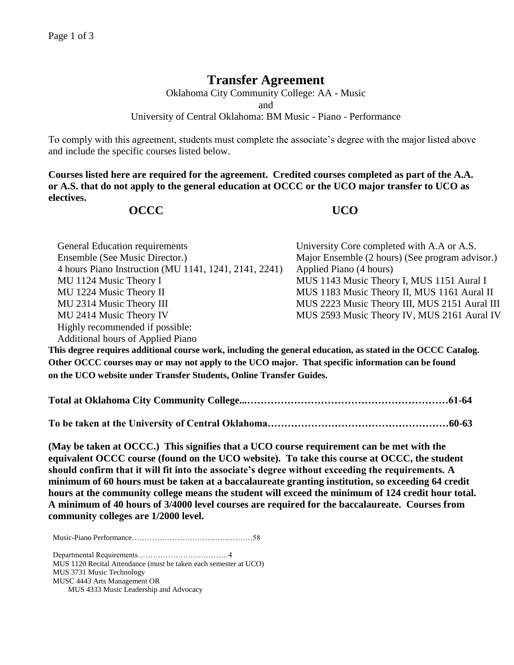## **Transfer Agreement**

Oklahoma City Community College: AA - Music and University of Central Oklahoma: BM Music - Piano - Performance

To comply with this agreement, students must complete the associate's degree with the major listed above and include the specific courses listed below.

**Courses listed here are required for the agreement. Credited courses completed as part of the A.A. or A.S. that do not apply to the general education at OCCC or the UCO major transfer to UCO as electives.**

## **OCCC UCO**

| General Education requirements                        | University Core completed with A.A or A.S.      |
|-------------------------------------------------------|-------------------------------------------------|
| Ensemble (See Music Director.)                        | Major Ensemble (2 hours) (See program advisor.) |
| 4 hours Piano Instruction (MU 1141, 1241, 2141, 2241) | Applied Piano (4 hours)                         |
| MU 1124 Music Theory I                                | MUS 1143 Music Theory I, MUS 1151 Aural I       |
| MU 1224 Music Theory II                               | MUS 1183 Music Theory II, MUS 1161 Aural II     |
| MU 2314 Music Theory III                              | MUS 2223 Music Theory III, MUS 2151 Aural III   |
| MU 2414 Music Theory IV                               | MUS 2593 Music Theory IV, MUS 2161 Aural IV     |
| Highly recommended if possible:                       |                                                 |
| <b>Additional hours of Applied Piano</b>              |                                                 |

**This degree requires additional course work, including the general education, as stated in the OCCC Catalog. Other OCCC courses may or may not apply to the UCO major. That specific information can be found on the UCO website under Transfer Students, Online Transfer Guides.** 

**Total at Oklahoma City Community College...……………………………………………………61-64**

**To be taken at the University of Central Oklahoma………………………………………………60-63**

**(May be taken at OCCC.) This signifies that a UCO course requirement can be met with the equivalent OCCC course (found on the UCO website). To take this course at OCCC, the student should confirm that it will fit into the associate's degree without exceeding the requirements. A minimum of 60 hours must be taken at a baccalaureate granting institution, so exceeding 64 credit hours at the community college means the student will exceed the minimum of 124 credit hour total. A minimum of 40 hours of 3/4000 level courses are required for the baccalaureate. Courses from community colleges are 1/2000 level.**

Music-Piano Performance…………………………………………58

Departmental Requirements………………………………4 MUS 1120 Recital Attendance (must be taken each semester at UCO) MUS 3731 Music Technology MUSC 4443 Arts Management OR MUS 4333 Music Leadership and Advocacy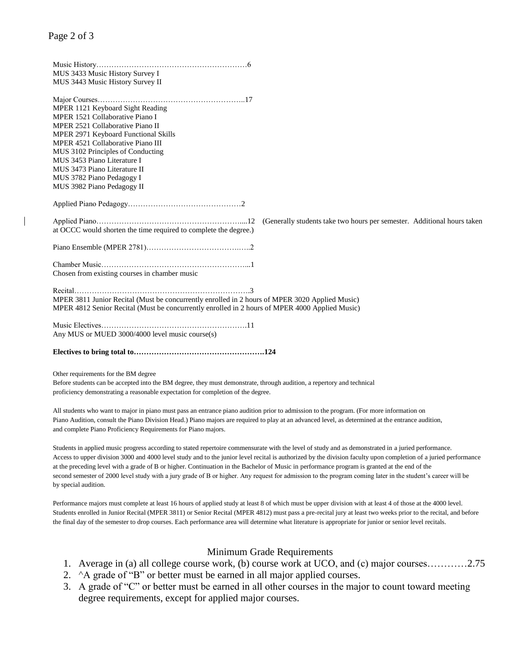| MUS 3433 Music History Survey I<br>MUS 3443 Music History Survey II                                                                                                                                                                                                                                                                                 |  |
|-----------------------------------------------------------------------------------------------------------------------------------------------------------------------------------------------------------------------------------------------------------------------------------------------------------------------------------------------------|--|
| MPER 1121 Keyboard Sight Reading<br>MPER 1521 Collaborative Piano I<br>MPER 2521 Collaborative Piano II<br>MPER 2971 Keyboard Functional Skills<br>MPER 4521 Collaborative Piano III<br>MUS 3102 Principles of Conducting<br>MUS 3453 Piano Literature I<br>MUS 3473 Piano Literature II<br>MUS 3782 Piano Pedagogy I<br>MUS 3982 Piano Pedagogy II |  |
|                                                                                                                                                                                                                                                                                                                                                     |  |
| (Generally students take two hours per semester. Additional hours taken<br>at OCCC would shorten the time required to complete the degree.)                                                                                                                                                                                                         |  |
|                                                                                                                                                                                                                                                                                                                                                     |  |
| Chosen from existing courses in chamber music                                                                                                                                                                                                                                                                                                       |  |
| MPER 3811 Junior Recital (Must be concurrently enrolled in 2 hours of MPER 3020 Applied Music)<br>MPER 4812 Senior Recital (Must be concurrently enrolled in 2 hours of MPER 4000 Applied Music)                                                                                                                                                    |  |
| Any MUS or MUED 3000/4000 level music course(s)                                                                                                                                                                                                                                                                                                     |  |
|                                                                                                                                                                                                                                                                                                                                                     |  |

Other requirements for the BM degree

Before students can be accepted into the BM degree, they must demonstrate, through audition, a repertory and technical proficiency demonstrating a reasonable expectation for completion of the degree.

All students who want to major in piano must pass an entrance piano audition prior to admission to the program. (For more information on Piano Audition, consult the Piano Division Head.) Piano majors are required to play at an advanced level, as determined at the entrance audition, and complete Piano Proficiency Requirements for Piano majors.

Students in applied music progress according to stated repertoire commensurate with the level of study and as demonstrated in a juried performance. Access to upper division 3000 and 4000 level study and to the junior level recital is authorized by the division faculty upon completion of a juried performance at the preceding level with a grade of B or higher. Continuation in the Bachelor of Music in performance program is granted at the end of the second semester of 2000 level study with a jury grade of B or higher. Any request for admission to the program coming later in the student's career will be by special audition.

Performance majors must complete at least 16 hours of applied study at least 8 of which must be upper division with at least 4 of those at the 4000 level. Students enrolled in Junior Recital (MPER 3811) or Senior Recital (MPER 4812) must pass a pre-recital jury at least two weeks prior to the recital, and before the final day of the semester to drop courses. Each performance area will determine what literature is appropriate for junior or senior level recitals.

## Minimum Grade Requirements

- 1. Average in (a) all college course work, (b) course work at UCO, and (c) major courses…………2.75
- 2.  $\Delta A$  grade of "B" or better must be earned in all major applied courses.
- 3. A grade of "C" or better must be earned in all other courses in the major to count toward meeting degree requirements, except for applied major courses.